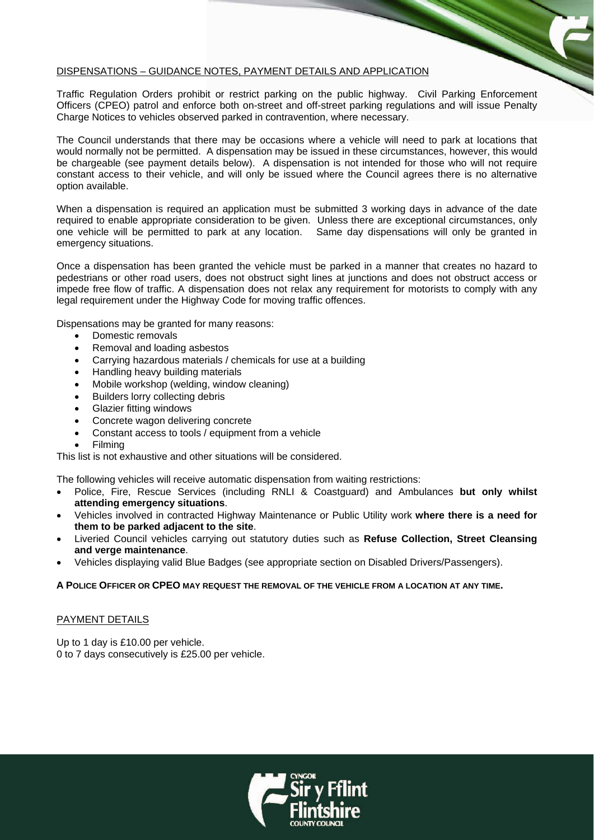## DISPENSATIONS – GUIDANCE NOTES, PAYMENT DETAILS AND APPLICATION

Traffic Regulation Orders prohibit or restrict parking on the public highway. Civil Parking Enforcement Officers (CPEO) patrol and enforce both on-street and off-street parking regulations and will issue Penalty Charge Notices to vehicles observed parked in contravention, where necessary.

The Council understands that there may be occasions where a vehicle will need to park at locations that would normally not be permitted. A dispensation may be issued in these circumstances, however, this would be chargeable (see payment details below). A dispensation is not intended for those who will not require constant access to their vehicle, and will only be issued where the Council agrees there is no alternative option available.

When a dispensation is required an application must be submitted 3 working days in advance of the date required to enable appropriate consideration to be given. Unless there are exceptional circumstances, only one vehicle will be permitted to park at any location. Same day dispensations will only be granted in emergency situations.

Once a dispensation has been granted the vehicle must be parked in a manner that creates no hazard to pedestrians or other road users, does not obstruct sight lines at junctions and does not obstruct access or impede free flow of traffic. A dispensation does not relax any requirement for motorists to comply with any legal requirement under the Highway Code for moving traffic offences.

Dispensations may be granted for many reasons:

- Domestic removals
- Removal and loading asbestos
- Carrying hazardous materials / chemicals for use at a building
- Handling heavy building materials
- Mobile workshop (welding, window cleaning)
- Builders lorry collecting debris
- Glazier fitting windows
- Concrete wagon delivering concrete
- Constant access to tools / equipment from a vehicle
- Filming

This list is not exhaustive and other situations will be considered.

The following vehicles will receive automatic dispensation from waiting restrictions:

- Police, Fire, Rescue Services (including RNLI & Coastguard) and Ambulances **but only whilst attending emergency situations**.
- Vehicles involved in contracted Highway Maintenance or Public Utility work **where there is a need for them to be parked adjacent to the site**.
- Liveried Council vehicles carrying out statutory duties such as **Refuse Collection, Street Cleansing and verge maintenance**.
- Vehicles displaying valid Blue Badges (see appropriate section on Disabled Drivers/Passengers).

**A POLICE OFFICER OR CPEO MAY REQUEST THE REMOVAL OF THE VEHICLE FROM A LOCATION AT ANY TIME.** 

## PAYMENT DETAILS

Up to 1 day is £10.00 per vehicle. 0 to 7 days consecutively is £25.00 per vehicle.